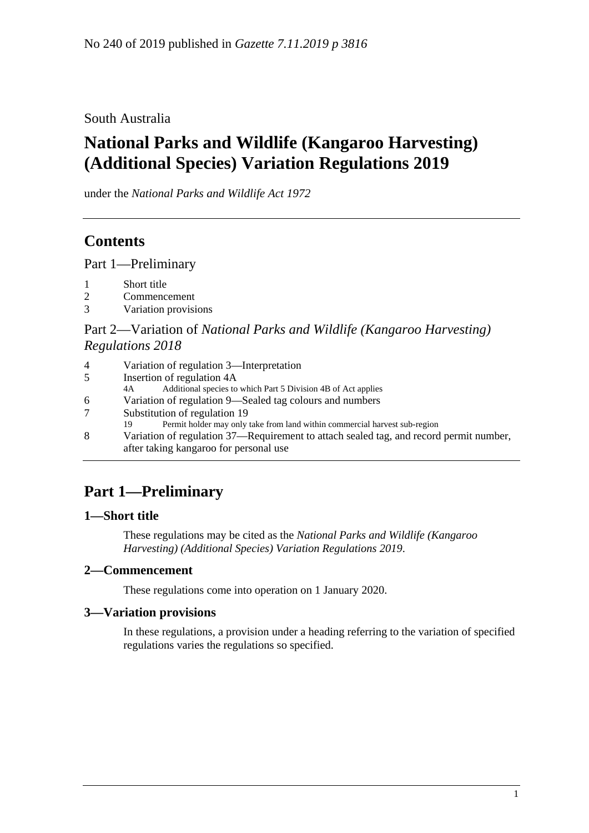South Australia

# **National Parks and Wildlife (Kangaroo Harvesting) (Additional Species) Variation Regulations 2019**

under the *National Parks and Wildlife Act 1972*

## **Contents**

Part [1—Preliminary](#page-0-0)

- 1 [Short title](#page-0-1)
- 2 [Commencement](#page-0-2)
- 3 [Variation provisions](#page-0-3)

### Part 2—Variation of *[National Parks and Wildlife \(Kangaroo Harvesting\)](#page-1-0)  [Regulations](#page-1-0) 2018*

| 4  | Variation of regulation 3—Interpretation                                                                                         |
|----|----------------------------------------------------------------------------------------------------------------------------------|
| 5  | Insertion of regulation 4A                                                                                                       |
|    | Additional species to which Part 5 Division 4B of Act applies<br>4A                                                              |
| 6. | Variation of regulation 9—Sealed tag colours and numbers                                                                         |
|    | Substitution of regulation 19                                                                                                    |
|    | Permit holder may only take from land within commercial harvest sub-region<br>19                                                 |
| 8  | Variation of regulation 37—Requirement to attach sealed tag, and record permit number,<br>after taking kangaroo for personal use |

# <span id="page-0-0"></span>**Part 1—Preliminary**

## <span id="page-0-1"></span>**1—Short title**

These regulations may be cited as the *National Parks and Wildlife (Kangaroo Harvesting) (Additional Species) Variation Regulations 2019*.

## <span id="page-0-2"></span>**2—Commencement**

These regulations come into operation on 1 January 2020.

## <span id="page-0-3"></span>**3—Variation provisions**

In these regulations, a provision under a heading referring to the variation of specified regulations varies the regulations so specified.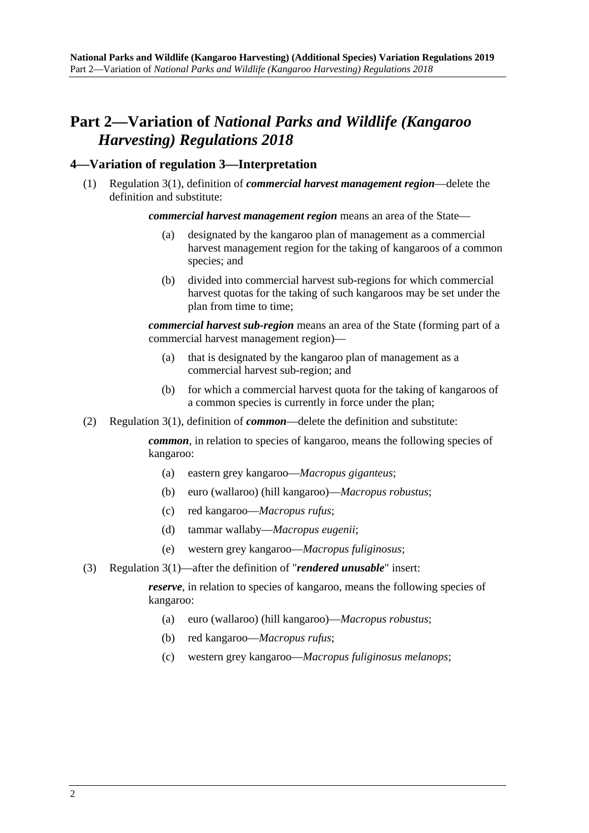## <span id="page-1-0"></span>**Part 2—Variation of** *National Parks and Wildlife (Kangaroo Harvesting) Regulations 2018*

#### <span id="page-1-1"></span>**4—Variation of regulation 3—Interpretation**

(1) Regulation 3(1), definition of *commercial harvest management region*—delete the definition and substitute:

*commercial harvest management region* means an area of the State—

- (a) designated by the kangaroo plan of management as a commercial harvest management region for the taking of kangaroos of a common species; and
- (b) divided into commercial harvest sub-regions for which commercial harvest quotas for the taking of such kangaroos may be set under the plan from time to time;

*commercial harvest sub-region* means an area of the State (forming part of a commercial harvest management region)—

- (a) that is designated by the kangaroo plan of management as a commercial harvest sub-region; and
- (b) for which a commercial harvest quota for the taking of kangaroos of a common species is currently in force under the plan;
- (2) Regulation 3(1), definition of *common*—delete the definition and substitute:

*common*, in relation to species of kangaroo, means the following species of kangaroo:

- (a) eastern grey kangaroo—*Macropus giganteus*;
- (b) euro (wallaroo) (hill kangaroo)—*Macropus robustus*;
- (c) red kangaroo—*Macropus rufus*;
- (d) tammar wallaby—*Macropus eugenii*;
- (e) western grey kangaroo—*Macropus fuliginosus*;
- (3) Regulation 3(1)—after the definition of "*rendered unusable*" insert:

*reserve*, in relation to species of kangaroo, means the following species of kangaroo:

- (a) euro (wallaroo) (hill kangaroo)—*Macropus robustus*;
- (b) red kangaroo—*Macropus rufus*;
- (c) western grey kangaroo—*Macropus fuliginosus melanops*;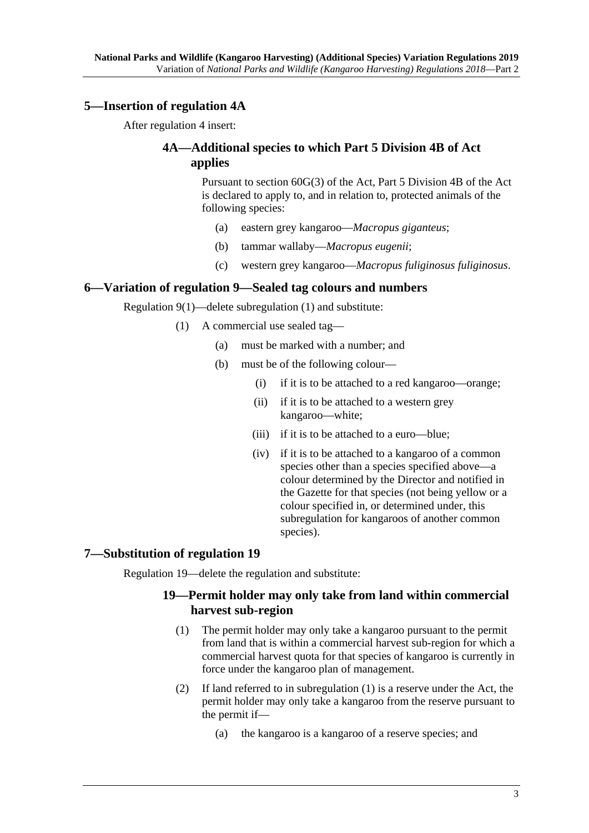#### <span id="page-2-0"></span>**5—Insertion of regulation 4A**

After regulation 4 insert:

### **4A—Additional species to which Part 5 Division 4B of Act applies**

Pursuant to section 60G(3) of the Act, Part 5 Division 4B of the Act is declared to apply to, and in relation to, protected animals of the following species:

- (a) eastern grey kangaroo—*Macropus giganteus*;
- (b) tammar wallaby—*Macropus eugenii*;
- (c) western grey kangaroo—*Macropus fuliginosus fuliginosus*.

#### <span id="page-2-1"></span>**6—Variation of regulation 9—Sealed tag colours and numbers**

Regulation 9(1)—delete subregulation (1) and substitute:

- (1) A commercial use sealed tag—
	- (a) must be marked with a number; and
	- (b) must be of the following colour—
		- (i) if it is to be attached to a red kangaroo—orange;
		- (ii) if it is to be attached to a western grey kangaroo—white;
		- (iii) if it is to be attached to a euro—blue;
		- (iv) if it is to be attached to a kangaroo of a common species other than a species specified above—a colour determined by the Director and notified in the Gazette for that species (not being yellow or a colour specified in, or determined under, this subregulation for kangaroos of another common species).

#### <span id="page-2-2"></span>**7—Substitution of regulation 19**

Regulation 19—delete the regulation and substitute:

#### **19—Permit holder may only take from land within commercial harvest sub-region**

- (1) The permit holder may only take a kangaroo pursuant to the permit from land that is within a commercial harvest sub-region for which a commercial harvest quota for that species of kangaroo is currently in force under the kangaroo plan of management.
- (2) If land referred to in subregulation (1) is a reserve under the Act, the permit holder may only take a kangaroo from the reserve pursuant to the permit if—
	- (a) the kangaroo is a kangaroo of a reserve species; and